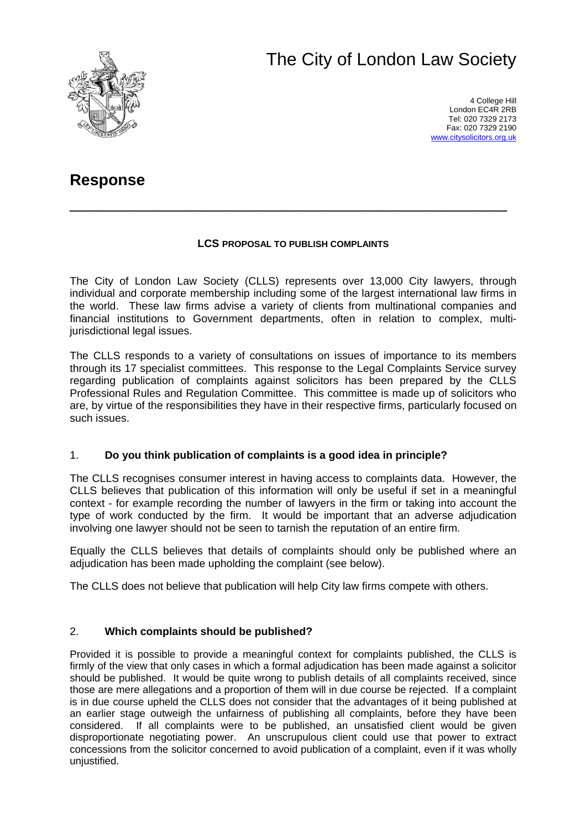# The City of London Law Society



4 College Hill London EC4R 2RB Tel: 020 7329 2173 Fax: 020 7329 2190 [www.citysolicitors.org.uk](http://www.citysolicitors.org.uk/)

# **Response**

#### **LCS PROPOSAL TO PUBLISH COMPLAINTS**

\_\_\_\_\_\_\_\_\_\_\_\_\_\_\_\_\_\_\_\_\_\_\_\_\_\_\_\_\_\_\_\_\_\_\_\_\_\_\_\_\_\_\_\_\_\_\_\_\_\_

The City of London Law Society (CLLS) represents over 13,000 City lawyers, through individual and corporate membership including some of the largest international law firms in the world. These law firms advise a variety of clients from multinational companies and financial institutions to Government departments, often in relation to complex, multijurisdictional legal issues.

The CLLS responds to a variety of consultations on issues of importance to its members through its 17 specialist committees. This response to the Legal Complaints Service survey regarding publication of complaints against solicitors has been prepared by the CLLS Professional Rules and Regulation Committee. This committee is made up of solicitors who are, by virtue of the responsibilities they have in their respective firms, particularly focused on such issues.

## 1. **Do you think publication of complaints is a good idea in principle?**

The CLLS recognises consumer interest in having access to complaints data. However, the CLLS believes that publication of this information will only be useful if set in a meaningful context - for example recording the number of lawyers in the firm or taking into account the type of work conducted by the firm. It would be important that an adverse adjudication involving one lawyer should not be seen to tarnish the reputation of an entire firm.

Equally the CLLS believes that details of complaints should only be published where an adjudication has been made upholding the complaint (see below).

The CLLS does not believe that publication will help City law firms compete with others.

## 2. **Which complaints should be published?**

Provided it is possible to provide a meaningful context for complaints published, the CLLS is firmly of the view that only cases in which a formal adjudication has been made against a solicitor should be published. It would be quite wrong to publish details of all complaints received, since those are mere allegations and a proportion of them will in due course be rejected. If a complaint is in due course upheld the CLLS does not consider that the advantages of it being published at an earlier stage outweigh the unfairness of publishing all complaints, before they have been considered. If all complaints were to be published, an unsatisfied client would be given disproportionate negotiating power. An unscrupulous client could use that power to extract concessions from the solicitor concerned to avoid publication of a complaint, even if it was wholly unjustified.